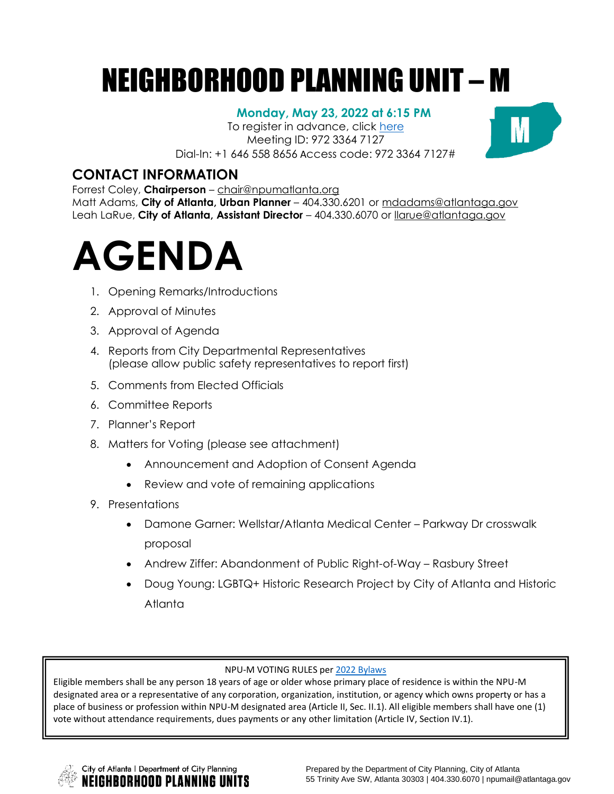# NEIGHBORHOOD PLANNING UNIT – M

#### **Monday, May 23, 2022 at 6:15 PM**

To register in advance, click [here](https://zoom.us/meeting/register/tJMvdOquqjwrGNMzjeUO15u88PSooneRz2Fp) Meeting ID: 972 3364 7127 Dial-In: +1 646 558 8656 Access code: 972 3364 7127#



### **CONTACT INFORMATION**

Forrest Coley, **Chairperson** – [chair@npumatlanta.org](mailto:chair@npumatlanta.org)

Matt Adams, **City of Atlanta, Urban Planner** – 404.330.6201 or [mdadams@atlantaga.gov](mailto:mdadams@atlantaga.gov) Leah LaRue, **City of Atlanta, Assistant Director** – 404.330.6070 or [llarue@atlantaga.gov](mailto:llarue@atlantaga.gov)



- 1. Opening Remarks/Introductions
- 2. Approval of Minutes
- 3. Approval of Agenda
- 4. Reports from City Departmental Representatives (please allow public safety representatives to report first)
- 5. Comments from Elected Officials
- 6. Committee Reports
- 7. Planner's Report
- 8. Matters for Voting (please see attachment)
	- Announcement and Adoption of Consent Agenda
	- Review and vote of remaining applications
- 9. Presentations
	- Damone Garner: Wellstar/Atlanta Medical Center Parkway Dr crosswalk proposal
	- Andrew Ziffer: Abandonment of Public Right-of-Way Rasbury Street
	- Doug Young: LGBTQ+ Historic Research Project by City of Atlanta and Historic Atlanta

#### NPU-M VOTING RULES pe[r 2022 Bylaws](https://drive.google.com/file/d/1WrlKF3yO45LHsPKIsNOlFVRpxb2u4D5H/view?usp=sharing)

Eligible members shall be any person 18 years of age or older whose primary place of residence is within the NPU-M designated area or a representative of any corporation, organization, institution, or agency which owns property or has a place of business or profession within NPU-M designated area (Article II, Sec. II.1). All eligible members shall have one (1) vote without attendance requirements, dues payments or any other limitation (Article IV, Section IV.1).

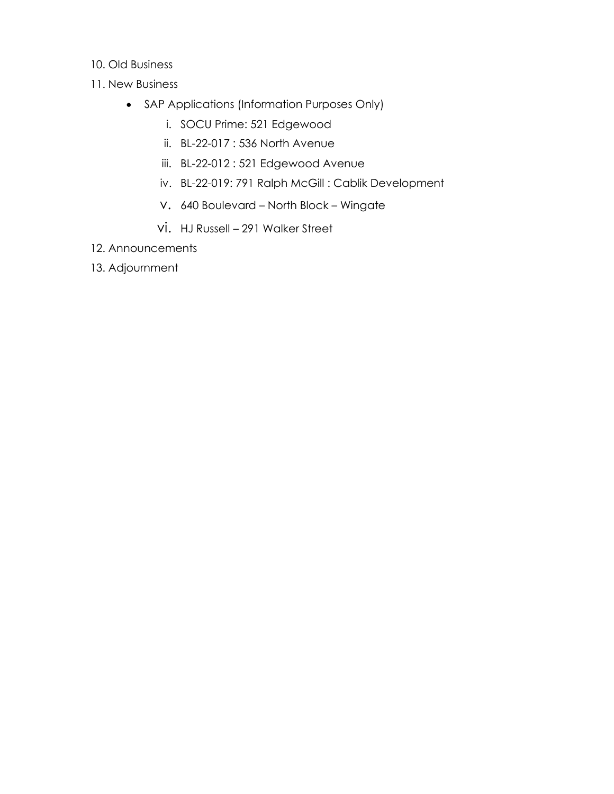- 10. Old Business
- 11. New Business
	- SAP Applications (Information Purposes Only)
		- i. SOCU Prime: 521 Edgewood
		- ii. BL-22-017 : 536 North Avenue
		- iii. BL-22-012 : 521 Edgewood Avenue
		- iv. BL-22-019: 791 Ralph McGill : Cablik Development
		- v. 640 Boulevard North Block Wingate
		- vi. HJ Russell 291 Walker Street
- 12. Announcements
- 13. Adjournment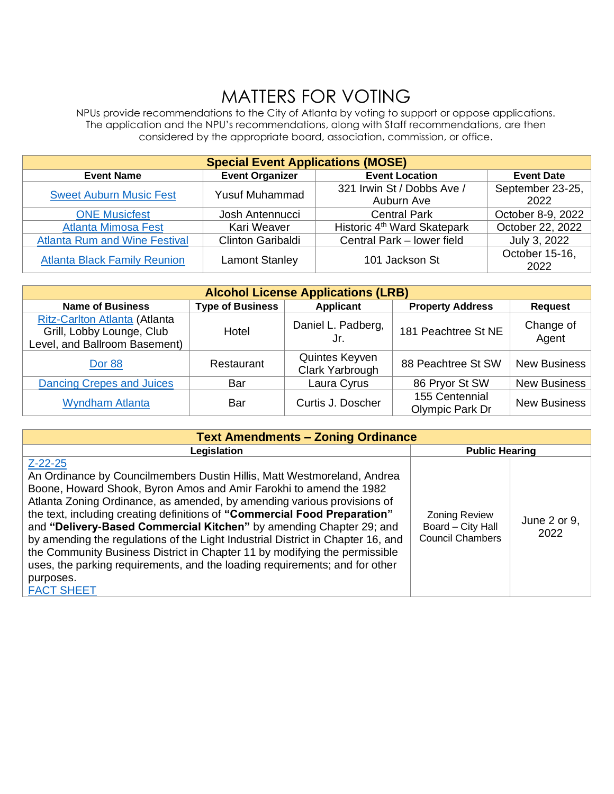## MATTERS FOR VOTING

NPUs provide recommendations to the City of Atlanta by voting to support or oppose applications. The application and the NPU's recommendations, along with Staff recommendations, are then considered by the appropriate board, association, commission, or office.

| <b>Special Event Applications (MOSE)</b> |                        |                                         |                   |  |  |  |  |
|------------------------------------------|------------------------|-----------------------------------------|-------------------|--|--|--|--|
| <b>Event Name</b>                        | <b>Event Organizer</b> | <b>Event Location</b>                   | <b>Event Date</b> |  |  |  |  |
| <b>Sweet Auburn Music Fest</b>           | <b>Yusuf Muhammad</b>  | 321 Irwin St / Dobbs Ave /              | September 23-25,  |  |  |  |  |
|                                          |                        | Auburn Ave                              | 2022              |  |  |  |  |
| <b>ONE Musicfest</b>                     | Josh Antennucci        | <b>Central Park</b>                     | October 8-9, 2022 |  |  |  |  |
| <b>Atlanta Mimosa Fest</b>               | Kari Weaver            | Historic 4 <sup>th</sup> Ward Skatepark | October 22, 2022  |  |  |  |  |
| <b>Atlanta Rum and Wine Festival</b>     | Clinton Garibaldi      | Central Park - lower field              | July 3, 2022      |  |  |  |  |
| <b>Atlanta Black Family Reunion</b>      | <b>Lamont Stanley</b>  | 101 Jackson St                          | October 15-16,    |  |  |  |  |
|                                          |                        |                                         | 2022              |  |  |  |  |

| <b>Alcohol License Applications (LRB)</b>                                                   |                         |                                   |                                   |                     |  |  |  |
|---------------------------------------------------------------------------------------------|-------------------------|-----------------------------------|-----------------------------------|---------------------|--|--|--|
| <b>Name of Business</b>                                                                     | <b>Type of Business</b> | <b>Applicant</b>                  | <b>Property Address</b>           | <b>Request</b>      |  |  |  |
| Ritz-Carlton Atlanta (Atlanta<br>Grill, Lobby Lounge, Club<br>Level, and Ballroom Basement) | Hotel                   | Daniel L. Padberg,<br>Jr.         | 181 Peachtree St NE               | Change of<br>Agent  |  |  |  |
| Dor 88                                                                                      | Restaurant              | Quintes Keyven<br>Clark Yarbrough | 88 Peachtree St SW                | <b>New Business</b> |  |  |  |
| <b>Dancing Crepes and Juices</b>                                                            | Bar                     | Laura Cyrus                       | 86 Pryor St SW                    | <b>New Business</b> |  |  |  |
| <b>Wyndham Atlanta</b>                                                                      | Bar                     | Curtis J. Doscher                 | 155 Centennial<br>Olympic Park Dr | <b>New Business</b> |  |  |  |

| <b>Text Amendments - Zoning Ordinance</b>                                                                                                                                                                                                                                                                                                                                                                                                                                                                                                                                                                                                                                       |                                                                      |                      |  |  |  |  |
|---------------------------------------------------------------------------------------------------------------------------------------------------------------------------------------------------------------------------------------------------------------------------------------------------------------------------------------------------------------------------------------------------------------------------------------------------------------------------------------------------------------------------------------------------------------------------------------------------------------------------------------------------------------------------------|----------------------------------------------------------------------|----------------------|--|--|--|--|
| Legislation                                                                                                                                                                                                                                                                                                                                                                                                                                                                                                                                                                                                                                                                     | <b>Public Hearing</b>                                                |                      |  |  |  |  |
| $Z - 22 - 25$<br>An Ordinance by Councilmembers Dustin Hillis, Matt Westmoreland, Andrea<br>Boone, Howard Shook, Byron Amos and Amir Farokhi to amend the 1982<br>Atlanta Zoning Ordinance, as amended, by amending various provisions of<br>the text, including creating definitions of "Commercial Food Preparation"<br>and "Delivery-Based Commercial Kitchen" by amending Chapter 29; and<br>by amending the regulations of the Light Industrial District in Chapter 16, and<br>the Community Business District in Chapter 11 by modifying the permissible<br>uses, the parking requirements, and the loading requirements; and for other<br>purposes.<br><b>FACT SHEET</b> | <b>Zoning Review</b><br>Board - City Hall<br><b>Council Chambers</b> | June 2 or 9,<br>2022 |  |  |  |  |